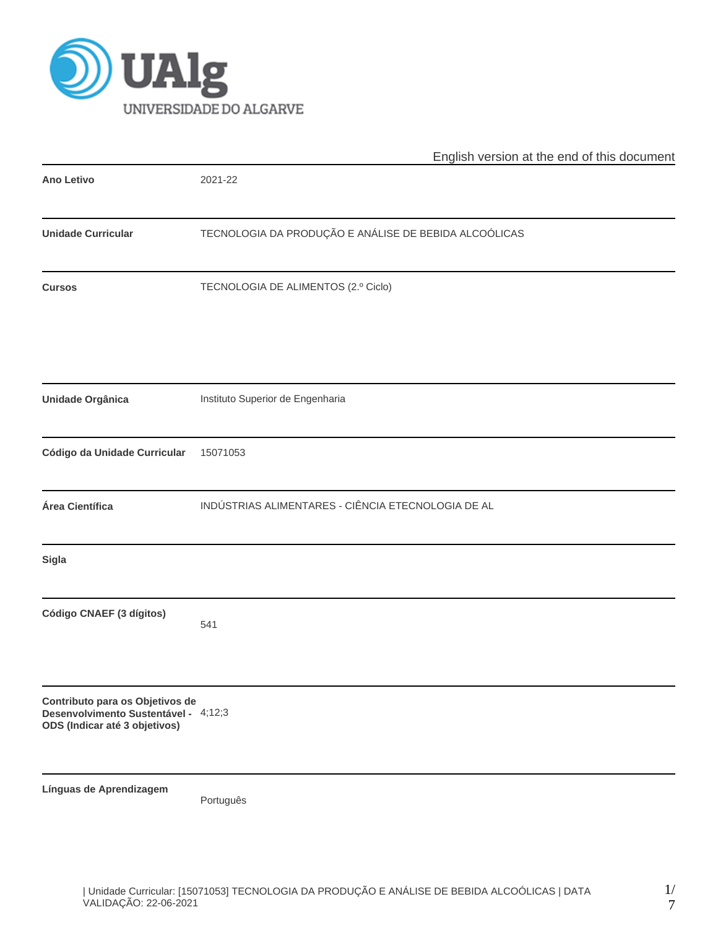

|                                                                                                          | English version at the end of this document           |  |  |  |  |  |
|----------------------------------------------------------------------------------------------------------|-------------------------------------------------------|--|--|--|--|--|
| <b>Ano Letivo</b>                                                                                        | 2021-22                                               |  |  |  |  |  |
| <b>Unidade Curricular</b>                                                                                | TECNOLOGIA DA PRODUÇÃO E ANÁLISE DE BEBIDA ALCOÓLICAS |  |  |  |  |  |
| <b>Cursos</b>                                                                                            | TECNOLOGIA DE ALIMENTOS (2.º Ciclo)                   |  |  |  |  |  |
| Unidade Orgânica                                                                                         | Instituto Superior de Engenharia                      |  |  |  |  |  |
| Código da Unidade Curricular                                                                             | 15071053                                              |  |  |  |  |  |
| Área Científica                                                                                          | INDÚSTRIAS ALIMENTARES - CIÊNCIA ETECNOLOGIA DE AL    |  |  |  |  |  |
| <b>Sigla</b>                                                                                             |                                                       |  |  |  |  |  |
| Código CNAEF (3 dígitos)                                                                                 | 541                                                   |  |  |  |  |  |
| Contributo para os Objetivos de<br>Desenvolvimento Sustentável - 4;12;3<br>ODS (Indicar até 3 objetivos) |                                                       |  |  |  |  |  |
| Línguas de Aprendizagem                                                                                  | Português                                             |  |  |  |  |  |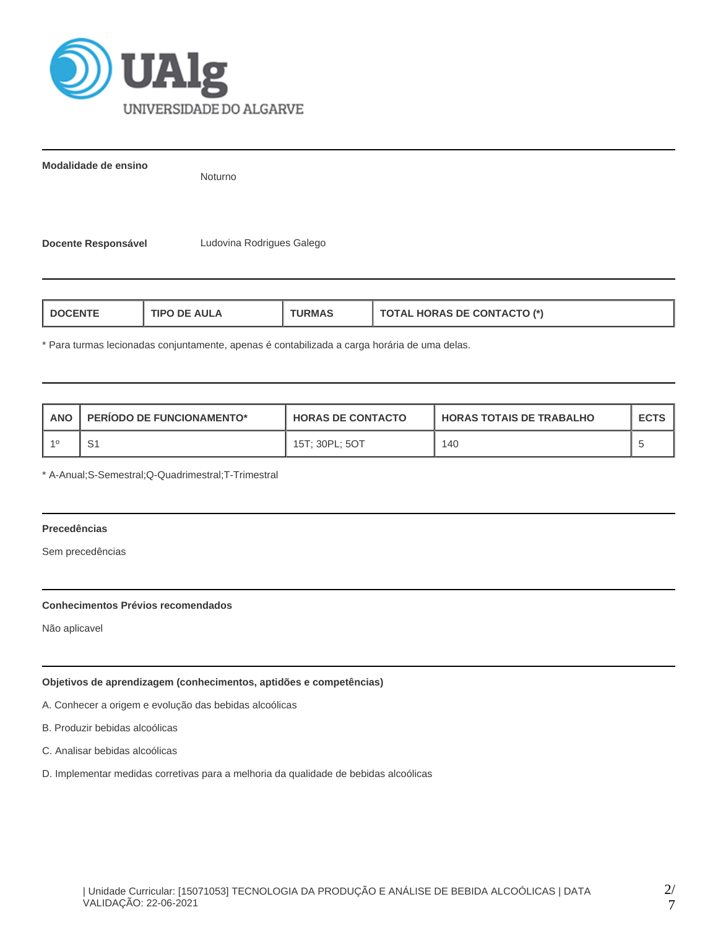

**Modalidade de ensino**

Noturno

**Docente Responsável** Ludovina Rodrigues Galego

| <b>HORAS DE CONTACTO (*)</b><br>AUI A<br>חפו־<br>RMA |
|------------------------------------------------------|
|------------------------------------------------------|

\* Para turmas lecionadas conjuntamente, apenas é contabilizada a carga horária de uma delas.

| ANO | <b>PERIODO DE FUNCIONAMENTO*</b> | <b>HORAS DE CONTACTO</b> | I HORAS TOTAIS DE TRABALHO | <b>ECTS</b> |
|-----|----------------------------------|--------------------------|----------------------------|-------------|
|     | S1                               | 15T; 30PL; 5OT           | 140                        |             |

\* A-Anual;S-Semestral;Q-Quadrimestral;T-Trimestral

# **Precedências**

Sem precedências

## **Conhecimentos Prévios recomendados**

Não aplicavel

# **Objetivos de aprendizagem (conhecimentos, aptidões e competências)**

A. Conhecer a origem e evolução das bebidas alcoólicas

B. Produzir bebidas alcoólicas

C. Analisar bebidas alcoólicas

D. Implementar medidas corretivas para a melhoria da qualidade de bebidas alcoólicas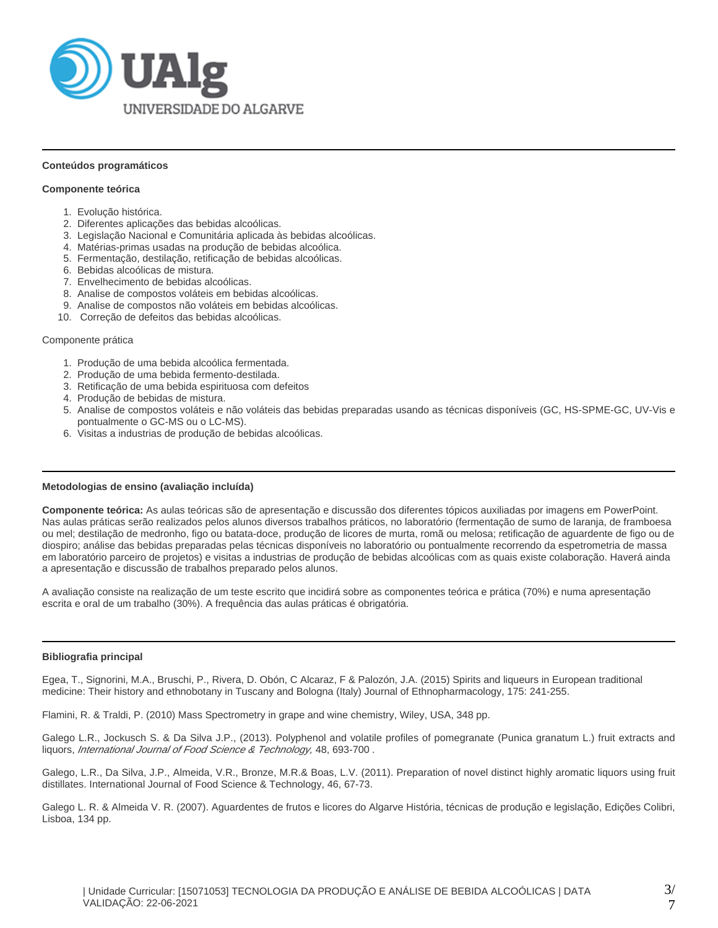

#### **Conteúdos programáticos**

### **Componente teórica**

- 1. Evolução histórica.
- 2. Diferentes aplicações das bebidas alcoólicas.
- 3. Legislação Nacional e Comunitária aplicada às bebidas alcoólicas.
- 4. Matérias-primas usadas na produção de bebidas alcoólica.
- 5. Fermentação, destilação, retificação de bebidas alcoólicas.
- 6. Bebidas alcoólicas de mistura.
- 7. Envelhecimento de bebidas alcoólicas.
- 8. Analise de compostos voláteis em bebidas alcoólicas.
- 9. Analise de compostos não voláteis em bebidas alcoólicas.
- 10. Correção de defeitos das bebidas alcoólicas.

#### Componente prática

- 1. Produção de uma bebida alcoólica fermentada.
- 2. Produção de uma bebida fermento-destilada.
- 3. Retificação de uma bebida espirituosa com defeitos
- 4. Produção de bebidas de mistura.
- 5. Analise de compostos voláteis e não voláteis das bebidas preparadas usando as técnicas disponíveis (GC, HS-SPME-GC, UV-Vis e pontualmente o GC-MS ou o LC-MS).
- 6. Visitas a industrias de produção de bebidas alcoólicas.

#### **Metodologias de ensino (avaliação incluída)**

**Componente teórica:** As aulas teóricas são de apresentação e discussão dos diferentes tópicos auxiliadas por imagens em PowerPoint. Nas aulas práticas serão realizados pelos alunos diversos trabalhos práticos, no laboratório (fermentação de sumo de laranja, de framboesa ou mel; destilação de medronho, figo ou batata-doce, produção de licores de murta, romã ou melosa; retificação de aguardente de figo ou de diospiro; análise das bebidas preparadas pelas técnicas disponíveis no laboratório ou pontualmente recorrendo da espetrometria de massa em laboratório parceiro de projetos) e visitas a industrias de produção de bebidas alcoólicas com as quais existe colaboração. Haverá ainda a apresentação e discussão de trabalhos preparado pelos alunos.

A avaliação consiste na realização de um teste escrito que incidirá sobre as componentes teórica e prática (70%) e numa apresentação escrita e oral de um trabalho (30%). A frequência das aulas práticas é obrigatória.

#### **Bibliografia principal**

Egea, T., Signorini, M.A., Bruschi, P., Rivera, D. Obón, C Alcaraz, F & Palozón, J.A. (2015) Spirits and liqueurs in European traditional medicine: Their history and ethnobotany in Tuscany and Bologna (Italy) Journal of Ethnopharmacology, 175: 241-255.

Flamini, R. & Traldi, P. (2010) Mass Spectrometry in grape and wine chemistry, Wiley, USA, 348 pp.

Galego L.R., Jockusch S. & Da Silva J.P., (2013). Polyphenol and volatile profiles of pomegranate (Punica granatum L.) fruit extracts and liquors, International Journal of Food Science & Technology, 48, 693-700.

Galego, L.R., Da Silva, J.P., Almeida, V.R., Bronze, M.R.& Boas, L.V. (2011). Preparation of novel distinct highly aromatic liquors using fruit distillates. International Journal of Food Science & Technology, 46, 67-73.

Galego L. R. & Almeida V. R. (2007). Aguardentes de frutos e licores do Algarve História, técnicas de produção e legislação, Edições Colibri, Lisboa, 134 pp.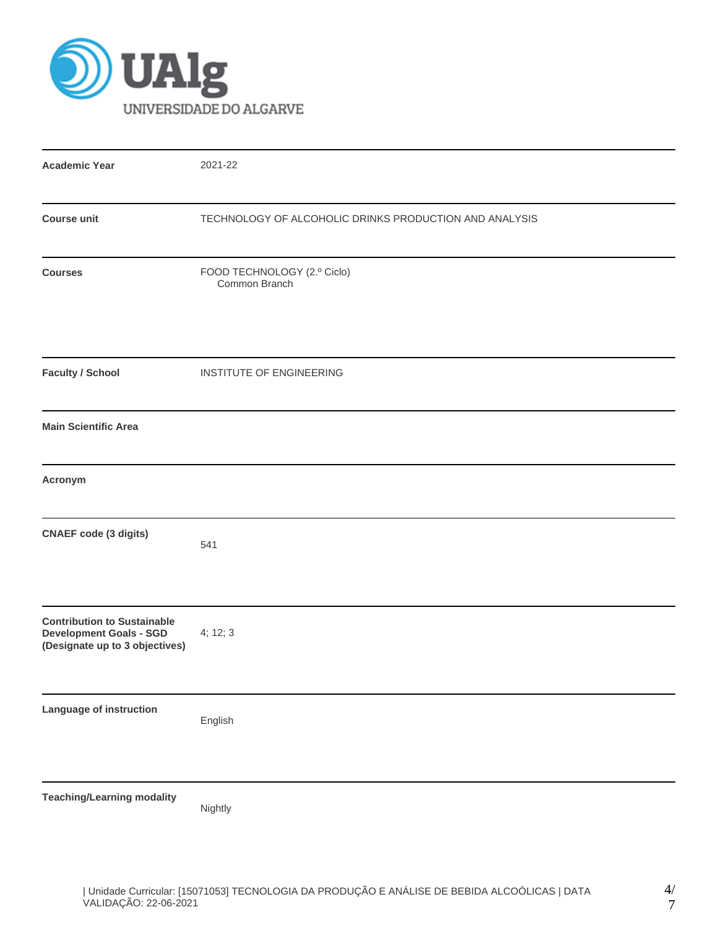

| <b>Academic Year</b>                                                                                   | 2021-22                                                |
|--------------------------------------------------------------------------------------------------------|--------------------------------------------------------|
| <b>Course unit</b>                                                                                     | TECHNOLOGY OF ALCOHOLIC DRINKS PRODUCTION AND ANALYSIS |
| <b>Courses</b>                                                                                         | FOOD TECHNOLOGY (2.º Ciclo)<br>Common Branch           |
| <b>Faculty / School</b>                                                                                | INSTITUTE OF ENGINEERING                               |
| <b>Main Scientific Area</b>                                                                            |                                                        |
| Acronym                                                                                                |                                                        |
| <b>CNAEF</b> code (3 digits)                                                                           | 541                                                    |
| <b>Contribution to Sustainable</b><br><b>Development Goals - SGD</b><br>(Designate up to 3 objectives) | 4; 12; 3                                               |
| Language of instruction                                                                                | English                                                |
| <b>Teaching/Learning modality</b>                                                                      | Nightly                                                |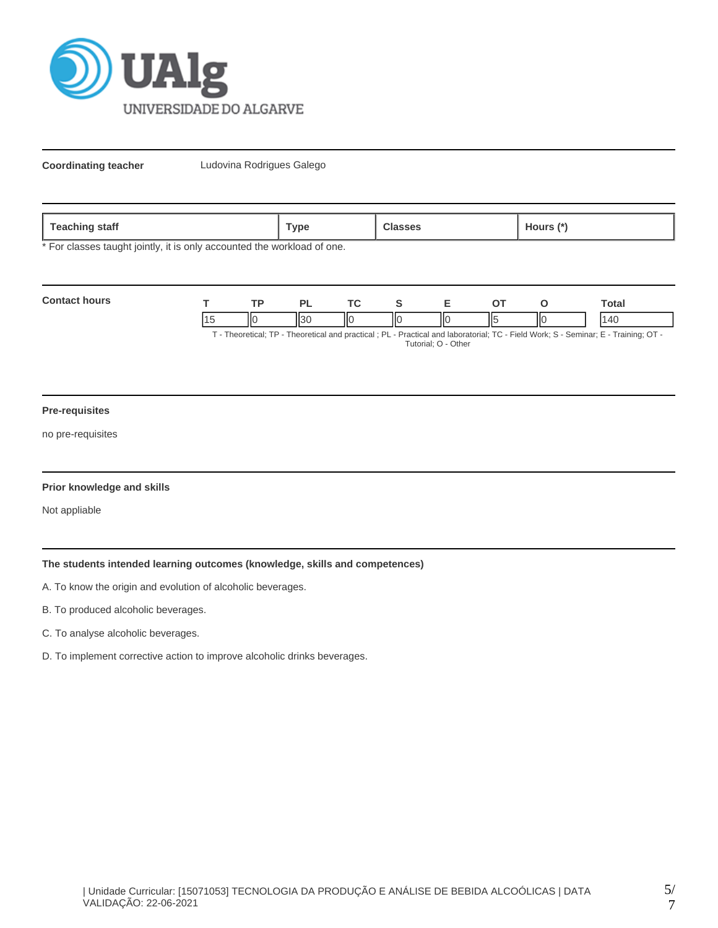

**Coordinating teacher** Ludovina Rodrigues Galego

| 020<br>statt<br><b>COLLIN</b><br>-- | vpe' |  | ours |
|-------------------------------------|------|--|------|
|-------------------------------------|------|--|------|

\* For classes taught jointly, it is only accounted the workload of one.

| <b>Contact hours</b> | חד | DI |    |  |    | ⊺otai                                                                                                                          |
|----------------------|----|----|----|--|----|--------------------------------------------------------------------------------------------------------------------------------|
|                      |    |    | ΙЮ |  | ШE | ۱4۲                                                                                                                            |
|                      |    |    |    |  |    | $\Gamma$ Theoretical: TD Theoretical and proetical : DI Dractical and laboratorial: TC Eiold Work: S. Sominar: E. Training: OT |

- Theoretical; TP - Theoretical and practical ; PL - Practical and laboratorial; TC - Field Work; S - Seminar; E - Training; OT Tutorial; O - Other

#### **Pre-requisites**

no pre-requisites

#### **Prior knowledge and skills**

Not appliable

# **The students intended learning outcomes (knowledge, skills and competences)**

- A. To know the origin and evolution of alcoholic beverages.
- B. To produced alcoholic beverages.
- C. To analyse alcoholic beverages.
- D. To implement corrective action to improve alcoholic drinks beverages.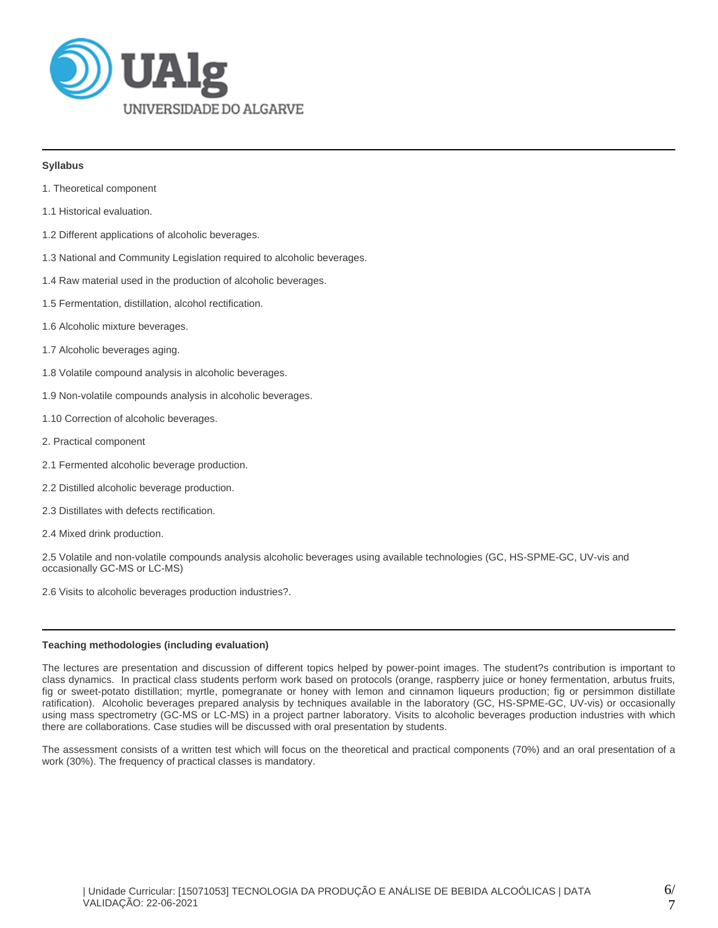

### **Syllabus**

- 1. Theoretical component
- 1.1 Historical evaluation.
- 1.2 Different applications of alcoholic beverages.
- 1.3 National and Community Legislation required to alcoholic beverages.
- 1.4 Raw material used in the production of alcoholic beverages.
- 1.5 Fermentation, distillation, alcohol rectification.
- 1.6 Alcoholic mixture beverages.
- 1.7 Alcoholic beverages aging.
- 1.8 Volatile compound analysis in alcoholic beverages.
- 1.9 Non-volatile compounds analysis in alcoholic beverages.
- 1.10 Correction of alcoholic beverages.
- 2. Practical component
- 2.1 Fermented alcoholic beverage production.
- 2.2 Distilled alcoholic beverage production.
- 2.3 Distillates with defects rectification.
- 2.4 Mixed drink production.

2.5 Volatile and non-volatile compounds analysis alcoholic beverages using available technologies (GC, HS-SPME-GC, UV-vis and occasionally GC-MS or LC-MS)

2.6 Visits to alcoholic beverages production industries?.

# **Teaching methodologies (including evaluation)**

The lectures are presentation and discussion of different topics helped by power-point images. The student?s contribution is important to class dynamics. In practical class students perform work based on protocols (orange, raspberry juice or honey fermentation, arbutus fruits, fig or sweet-potato distillation; myrtle, pomegranate or honey with lemon and cinnamon liqueurs production; fig or persimmon distillate ratification). Alcoholic beverages prepared analysis by techniques available in the laboratory (GC, HS-SPME-GC, UV-vis) or occasionally using mass spectrometry (GC-MS or LC-MS) in a project partner laboratory. Visits to alcoholic beverages production industries with which there are collaborations. Case studies will be discussed with oral presentation by students.

The assessment consists of a written test which will focus on the theoretical and practical components (70%) and an oral presentation of a work (30%). The frequency of practical classes is mandatory.